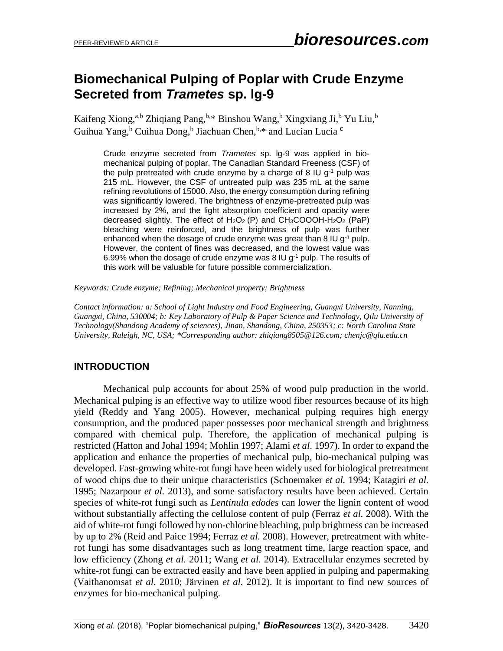# **Biomechanical Pulping of Poplar with Crude Enzyme Secreted from** *Trametes* **sp. lg-9**

Kaifeng Xiong,<sup>a,b</sup> Zhiqiang Pang,<sup>b,\*</sup> Binshou Wang,<sup>b</sup> Xingxiang Ji,<sup>b</sup> Yu Liu,<sup>b</sup> Guihua Yang, <sup>b</sup> Cuihua Dong, <sup>b</sup> Jiachuan Chen, <sup>b, \*</sup> and Lucian Lucia<sup>c</sup>

Crude enzyme secreted from *Trametes* sp. lg-9 was applied in biomechanical pulping of poplar. The Canadian Standard Freeness (CSF) of the pulp pretreated with crude enzyme by a charge of 8 IU  $g<sup>-1</sup>$  pulp was 215 mL. However, the CSF of untreated pulp was 235 mL at the same refining revolutions of 15000. Also, the energy consumption during refining was significantly lowered. The brightness of enzyme-pretreated pulp was increased by 2%, and the light absorption coefficient and opacity were decreased slightly. The effect of  $H_2O_2$  (P) and  $CH_3COOOH-H_2O_2$  (PaP) bleaching were reinforced, and the brightness of pulp was further enhanced when the dosage of crude enzyme was great than 8 IU g<sup>-1</sup> pulp. However, the content of fines was decreased, and the lowest value was 6.99% when the dosage of crude enzyme was 8 IU  $g<sup>-1</sup>$  pulp. The results of this work will be valuable for future possible commercialization.

*Keywords: Crude enzyme; Refining; Mechanical property; Brightness*

*Contact information: a: School of Light Industry and Food Engineering, Guangxi University, Nanning, Guangxi, China, 530004; b: Key Laboratory of Pulp & Paper Science and Technology, Qilu University of Technology(Shandong Academy of sciences), Jinan, Shandong, China, 250353; c: North Carolina State University, Raleigh, NC, USA; \*Corresponding author: zhiqiang8505@126.com; chenjc@qlu.edu.cn*

## **INTRODUCTION**

Mechanical pulp accounts for about 25% of wood pulp production in the world. Mechanical pulping is an effective way to utilize wood fiber resources because of its high yield (Reddy and Yang 2005). However, mechanical pulping requires high energy consumption, and the produced paper possesses poor mechanical strength and brightness compared with chemical pulp. Therefore, the application of mechanical pulping is restricted (Hatton and Johal 1994; Mohlin 1997; Alami *et al*. 1997). In order to expand the application and enhance the properties of mechanical pulp, bio-mechanical pulping was developed. Fast-growing white-rot fungi have been widely used for biological pretreatment of wood chips due to their unique characteristics (Schoemaker *et al.* 1994; Katagiri *et al.* 1995; Nazarpour *et al.* 2013), and some satisfactory results have been achieved. Certain species of white-rot fungi such as *Lentinula edodes* can lower the lignin content of wood without substantially affecting the cellulose content of pulp (Ferraz *et al.* 2008). With the aid of white-rot fungi followed by non-chlorine bleaching, pulp brightness can be increased by up to 2% (Reid and Paice 1994; Ferraz *et al.* 2008). However, pretreatment with whiterot fungi has some disadvantages such as long treatment time, large reaction space, and low efficiency (Zhong *et al.* 2011; Wang *et al.* 2014). Extracellular enzymes secreted by white-rot fungi can be extracted easily and have been applied in pulping and papermaking (Vaithanomsat *et al.* 2010; Järvinen *et al.* 2012). It is important to find new sources of enzymes for bio-mechanical pulping.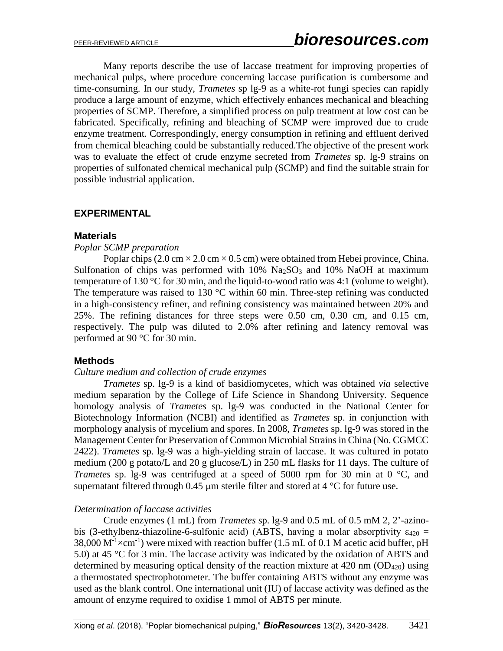Many reports describe the use of laccase treatment for improving properties of mechanical pulps, where procedure concerning laccase purification is cumbersome and time-consuming. In our study, *Trametes* sp lg-9 as a white-rot fungi species can rapidly produce a large amount of enzyme, which effectively enhances mechanical and bleaching properties of SCMP. Therefore, a simplified process on pulp treatment at low cost can be fabricated. Specifically, refining and bleaching of SCMP were improved due to crude enzyme treatment. Correspondingly, energy consumption in refining and effluent derived from chemical bleaching could be substantially reduced.The objective of the present work was to evaluate the effect of crude enzyme secreted from *Trametes* sp*.* lg-9 strains on properties of sulfonated chemical mechanical pulp (SCMP) and find the suitable strain for possible industrial application.

## **EXPERIMENTAL**

#### **Materials**

#### *Poplar SCMP preparation*

Poplar chips (2.0 cm  $\times$  2.0 cm  $\times$  0.5 cm) were obtained from Hebei province, China. Sulfonation of chips was performed with  $10\%$  Na<sub>2</sub>SO<sub>3</sub> and  $10\%$  NaOH at maximum temperature of 130 °C for 30 min, and the liquid-to-wood ratio was 4:1 (volume to weight). The temperature was raised to 130  $\degree$ C within 60 min. Three-step refining was conducted in a high-consistency refiner, and refining consistency was maintained between 20% and 25%. The refining distances for three steps were 0.50 cm, 0.30 cm, and 0.15 cm, respectively. The pulp was diluted to 2.0% after refining and latency removal was performed at 90 °C for 30 min.

## **Methods**

#### *Culture medium and collection of crude enzymes*

*Trametes* sp. lg-9 is a kind of basidiomycetes, which was obtained *via* selective medium separation by the College of Life Science in Shandong University. Sequence homology analysis of *Trametes* sp. lg-9 was conducted in the National Center for Biotechnology Information (NCBI) and identified as *Trametes* sp. in conjunction with morphology analysis of mycelium and spores. In 2008, *Trametes* sp. lg-9 was stored in the Management Center for Preservation of Common Microbial Strains in China (No. CGMCC 2422). *Trametes* sp. lg-9 was a high-yielding strain of laccase. It was cultured in potato medium (200 g potato/L and 20 g glucose/L) in 250 mL flasks for 11 days. The culture of *Trametes* sp. lg-9 was centrifuged at a speed of 5000 rpm for 30 min at 0 °C, and supernatant filtered through 0.45  $\mu$ m sterile filter and stored at 4 °C for future use.

## *Determination of laccase activities*

Crude enzymes (1 mL) from *Trametes* sp. lg-9 and 0.5 mL of 0.5 mM 2, 2'-azinobis (3-ethylbenz-thiazoline-6-sulfonic acid) (ABTS, having a molar absorptivity  $\varepsilon_{420}$  = 38,000  $M^{-1} \times cm^{-1}$ ) were mixed with reaction buffer (1.5 mL of 0.1 M acetic acid buffer, pH 5.0) at 45 °C for 3 min. The laccase activity was indicated by the oxidation of ABTS and determined by measuring optical density of the reaction mixture at  $420 \text{ nm}$  (OD<sub>420</sub>) using a thermostated spectrophotometer. The buffer containing ABTS without any enzyme was used as the blank control. One international unit (IU) of laccase activity was defined as the amount of enzyme required to oxidise 1 mmol of ABTS per minute.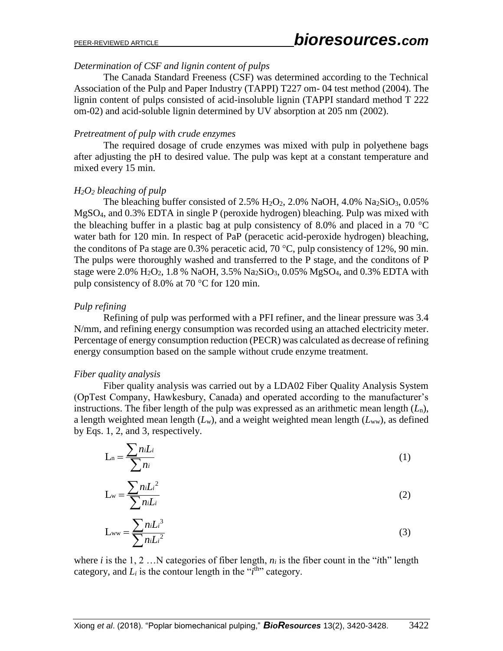#### *Determination of CSF and lignin content of pulps*

The Canada Standard Freeness (CSF) was determined according to the Technical Association of the Pulp and Paper Industry (TAPPI) T227 om- 04 test method (2004). The lignin content of pulps consisted of acid-insoluble lignin (TAPPI standard method T 222 om-02) and acid-soluble lignin determined by UV absorption at 205 nm (2002).

#### *Pretreatment of pulp with crude enzymes*

The required dosage of crude enzymes was mixed with pulp in polyethene bags after adjusting the pH to desired value. The pulp was kept at a constant temperature and mixed every 15 min.

## *H2O<sup>2</sup> bleaching of pulp*

The bleaching buffer consisted of 2.5% H<sub>2</sub>O<sub>2</sub>, 2.0% NaOH, 4.0% Na<sub>2</sub>SiO<sub>3</sub>, 0.05% MgSO4, and 0.3% EDTA in single P (peroxide hydrogen) bleaching. Pulp was mixed with the bleaching buffer in a plastic bag at pulp consistency of 8.0% and placed in a 70  $^{\circ}$ C water bath for 120 min. In respect of PaP (peracetic acid-peroxide hydrogen) bleaching, the conditions of Pa stage are 0.3% peracetic acid, 70  $^{\circ}$ C, pulp consistency of 12%, 90 min. The pulps were thoroughly washed and transferred to the P stage, and the conditons of P stage were 2.0%  $H_2O_2$ , 1.8 % NaOH, 3.5% Na<sub>2</sub>SiO<sub>3</sub>, 0.05% MgSO<sub>4</sub>, and 0.3% EDTA with pulp consistency of 8.0% at 70  $^{\circ}$ C for 120 min.

## *Pulp refining*

Refining of pulp was performed with a PFI refiner, and the linear pressure was 3.4 N/mm, and refining energy consumption was recorded using an attached electricity meter. Percentage of energy consumption reduction (PECR) was calculated as decrease of refining energy consumption based on the sample without crude enzyme treatment.

## *Fiber quality analysis*

Fiber quality analysis was carried out by a LDA02 Fiber Quality Analysis System (OpTest Company, Hawkesbury, Canada) and operated according to the manufacturer's instructions. The fiber length of the pulp was expressed as an arithmetic mean length  $(L_n)$ , a length weighted mean length  $(L_w)$ , and a weight weighted mean length  $(L_{ww})$ , as defined by Eqs. 1, 2, and 3, respectively.

$$
L_n = \frac{\sum n_i L_i}{\sum n_i} \tag{1}
$$

$$
L_{w} = \frac{\sum n_{i}L_{i}^{2}}{\sum n_{i}L_{i}}
$$
 (2)

$$
L_{ww} = \frac{\sum n_i L_i^3}{\sum n_i L_i^2}
$$
 (3)

where *i* is the 1, 2 …N categories of fiber length, *n<sup>i</sup>* is the fiber count in the "*i*th" length category, and  $L_i$  is the contour length in the " $i<sup>th</sup>$ " category.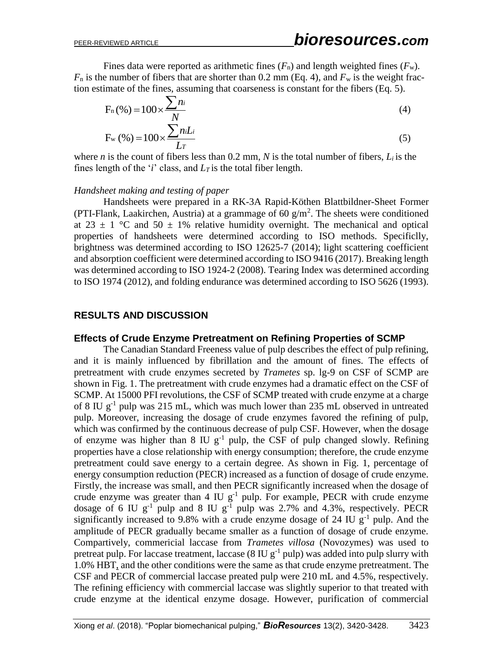Fines data were reported as arithmetic fines  $(F_n)$  and length weighted fines  $(F_w)$ .  $F_n$  is the number of fibers that are shorter than 0.2 mm (Eq. 4), and  $F_w$  is the weight fraction estimate of the fines, assuming that coarseness is constant for the fibers (Eq. 5).

$$
F_n(\%) = 100 \times \frac{\sum n_i}{N}
$$
\n
$$
F_n(\%) = 100 \times \frac{\sum n_i L_i}{N}
$$
\n
$$
(4)
$$

$$
F_{\rm w}(\%) = 100 \times \frac{\sum n_i L_i}{L \tau}
$$
 (5)

where *n* is the count of fibers less than 0.2 mm, *N* is the total number of fibers, *L<sup>i</sup>* is the fines length of the '*i*' class, and *L<sup>T</sup>* is the total fiber length.

#### *Handsheet making and testing of paper*

Handsheets were prepared in a RK-3A Rapid-Köthen Blattbildner-Sheet Former (PTI-Flank, Laakirchen, Austria) at a grammage of 60  $g/m<sup>2</sup>$ . The sheets were conditioned at 23  $\pm$  1 °C and 50  $\pm$  1% relative humidity overnight. The mechanical and optical properties of handsheets were determined according to ISO methods. Specificlly, brightness was determined according to ISO 12625-7 (2014); light scattering coefficient and absorption coefficient were determined according to ISO 9416 (2017). Breaking length was determined according to ISO 1924-2 (2008). Tearing Index was determined according to ISO 1974 (2012), and folding endurance was determined according to ISO 5626 (1993).

#### **RESULTS AND DISCUSSION**

#### **Effects of Crude Enzyme Pretreatment on Refining Properties of SCMP**

The Canadian Standard Freeness value of pulp describes the effect of pulp refining, and it is mainly influenced by fibrillation and the amount of fines. The effects of pretreatment with crude enzymes secreted by *Trametes* sp. lg-9 on CSF of SCMP are shown in Fig. 1. The pretreatment with crude enzymes had a dramatic effect on the CSF of SCMP. At 15000 PFI revolutions, the CSF of SCMP treated with crude enzyme at a charge of 8 IU  $g^{-1}$  pulp was 215 mL, which was much lower than 235 mL observed in untreated pulp. Moreover, increasing the dosage of crude enzymes favored the refining of pulp, which was confirmed by the continuous decrease of pulp CSF. However, when the dosage of enzyme was higher than  $8 \text{ IU} \text{ g}^{-1}$  pulp, the CSF of pulp changed slowly. Refining properties have a close relationship with energy consumption; therefore, the crude enzyme pretreatment could save energy to a certain degree. As shown in Fig. 1, percentage of energy consumption reduction (PECR) increased as a function of dosage of crude enzyme. Firstly, the increase was small, and then PECR significantly increased when the dosage of crude enzyme was greater than 4 IU  $g^{-1}$  pulp. For example, PECR with crude enzyme dosage of 6 IU  $g^{-1}$  pulp and 8 IU  $g^{-1}$  pulp was 2.7% and 4.3%, respectively. PECR significantly increased to 9.8% with a crude enzyme dosage of 24 IU  $g^{-1}$  pulp. And the amplitude of PECR gradually became smaller as a function of dosage of crude enzyme. Compartively, commericial laccase from *Trametes villosa* (Novozymes) was used to pretreat pulp. For laccase treatment, laccase  $(8 \text{ IU } g^{-1} \text{ pulp})$  was added into pulp slurry with 1.0% HBT, and the other conditions were the same as that crude enzyme pretreatment. The CSF and PECR of commercial laccase preated pulp were 210 mL and 4.5%, respectively. The refining efficiency with commercial laccase was slightly superior to that treated with crude enzyme at the identical enzyme dosage. However, purification of commercial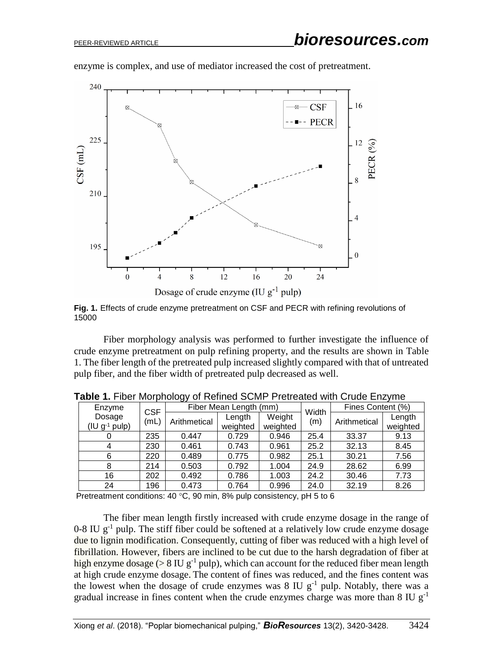

enzyme is complex, and use of mediator increased the cost of pretreatment.



Fiber morphology analysis was performed to further investigate the influence of crude enzyme pretreatment on pulp refining property, and the results are shown in Table 1. The fiber length of the pretreated pulp increased slightly compared with that of untreated pulp fiber, and the fiber width of pretreated pulp decreased as well.

| ັ |                                              |                    |                        |                    |                    |       |                   |                    |  |
|---|----------------------------------------------|--------------------|------------------------|--------------------|--------------------|-------|-------------------|--------------------|--|
|   | Enzyme<br>Dosage<br>$(IU \, g^{-1} \, pulp)$ | <b>CSF</b><br>(mL) | Fiber Mean Length (mm) |                    |                    | Width | Fines Content (%) |                    |  |
|   |                                              |                    | Arithmetical           | Length<br>weighted | Weight<br>weighted | (m)   | Arithmetical      | Length<br>weighted |  |
|   |                                              | 235                | 0.447                  | 0.729              | 0.946              | 25.4  | 33.37             | 9.13               |  |
|   |                                              | 230                | 0.461                  | 0.743              | 0.961              | 25.2  | 32.13             | 8.45               |  |
|   | 6                                            | 220                | 0.489                  | 0.775              | 0.982              | 25.1  | 30.21             | 7.56               |  |
|   | 8                                            | 214                | 0.503                  | 0.792              | 1.004              | 24.9  | 28.62             | 6.99               |  |
|   | 16                                           | 202                | 0.492                  | 0.786              | 1.003              | 24.2  | 30.46             | 7.73               |  |
|   | 24                                           | 196                | 0.473                  | 0.764              | 0.996              | 24.0  | 32.19             | 8.26               |  |

**Table 1.** Fiber Morphology of Refined SCMP Pretreated with Crude Enzyme

Pretreatment conditions: 40  $^{\circ}$ C, 90 min, 8% pulp consistency, pH 5 to 6

The fiber mean length firstly increased with crude enzyme dosage in the range of  $0-8$  IU  $g^{-1}$  pulp. The stiff fiber could be softened at a relatively low crude enzyme dosage due to lignin modification. Consequently, cutting of fiber was reduced with a high level of fibrillation. However, fibers are inclined to be cut due to the harsh degradation of fiber at high enzyme dosage ( $> 8$  IU g<sup>-1</sup> pulp), which can account for the reduced fiber mean length at high crude enzyme dosage. The content of fines was reduced, and the fines content was the lowest when the dosage of crude enzymes was  $8 \text{ IU } g^{-1}$  pulp. Notably, there was a gradual increase in fines content when the crude enzymes charge was more than 8 IU  $g^{-1}$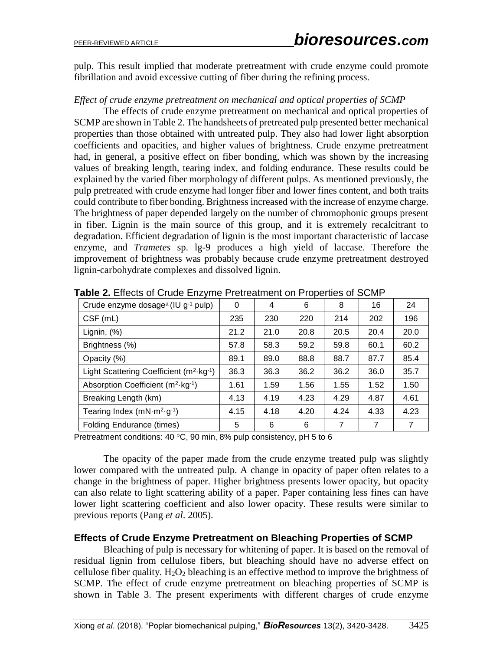pulp. This result implied that moderate pretreatment with crude enzyme could promote fibrillation and avoid excessive cutting of fiber during the refining process.

#### *Effect of crude enzyme pretreatment on mechanical and optical properties of SCMP*

The effects of crude enzyme pretreatment on mechanical and optical properties of SCMP are shown in Table 2. The handsheets of pretreated pulp presented better mechanical properties than those obtained with untreated pulp. They also had lower light absorption coefficients and opacities, and higher values of brightness. Crude enzyme pretreatment had, in general, a positive effect on fiber bonding, which was shown by the increasing values of breaking length, tearing index, and folding endurance. These results could be explained by the varied fiber morphology of different pulps. As mentioned previously, the pulp pretreated with crude enzyme had longer fiber and lower fines content, and both traits could contribute to fiber bonding. Brightness increased with the increase of enzyme charge. The brightness of paper depended largely on the number of chromophonic groups present in fiber. Lignin is the main source of this group, and it is extremely recalcitrant to degradation. Efficient degradation of lignin is the most important characteristic of laccase enzyme, and *Trametes* sp. lg-9 produces a high yield of laccase. Therefore the improvement of brightness was probably because crude enzyme pretreatment destroyed lignin-carbohydrate complexes and dissolved lignin.

| Crude enzyme dosage <sup>a</sup> (IU g <sup>-1</sup> pulp)         | 0    | 4    | 6    | 8              | 16   | 24   |
|--------------------------------------------------------------------|------|------|------|----------------|------|------|
| $CSF$ (mL)                                                         | 235  | 230  | 220  | 214            | 202  | 196  |
| Lignin, (%)                                                        | 21.2 | 21.0 | 20.8 | 20.5           | 20.4 | 20.0 |
| Brightness (%)                                                     | 57.8 | 58.3 | 59.2 | 59.8           | 60.1 | 60.2 |
| Opacity (%)                                                        | 89.1 | 89.0 | 88.8 | 88.7           | 87.7 | 85.4 |
| Light Scattering Coefficient $(m^2 \cdot kg^{-1})$                 | 36.3 | 36.3 | 36.2 | 36.2           | 36.0 | 35.7 |
| Absorption Coefficient (m <sup>2</sup> ·kg <sup>-1</sup> )         | 1.61 | 1.59 | 1.56 | 1.55           | 1.52 | 1.50 |
| Breaking Length (km)                                               | 4.13 | 4.19 | 4.23 | 4.29           | 4.87 | 4.61 |
| Tearing Index (mN $\cdot$ m <sup>2</sup> $\cdot$ g <sup>-1</sup> ) | 4.15 | 4.18 | 4.20 | 4.24           | 4.33 | 4.23 |
| <b>Folding Endurance (times)</b>                                   | 5    | 6    | 6    | $\overline{7}$ | 7    | 7    |

**Table 2.** Effects of Crude Enzyme Pretreatment on Properties of SCMP

Pretreatment conditions: 40  $^{\circ}$ C, 90 min, 8% pulp consistency, pH 5 to 6

The opacity of the paper made from the crude enzyme treated pulp was slightly lower compared with the untreated pulp. A change in opacity of paper often relates to a change in the brightness of paper. Higher brightness presents lower opacity, but opacity can also relate to light scattering ability of a paper. Paper containing less fines can have lower light scattering coefficient and also lower opacity. These results were similar to previous reports (Pang *et al*. 2005).

## **Effects of Crude Enzyme Pretreatment on Bleaching Properties of SCMP**

Bleaching of pulp is necessary for whitening of paper. It is based on the removal of residual lignin from cellulose fibers, but bleaching should have no adverse effect on cellulose fiber quality.  $H_2O_2$  bleaching is an effective method to improve the brightness of SCMP. The effect of crude enzyme pretreatment on bleaching properties of SCMP is shown in Table 3. The present experiments with different charges of crude enzyme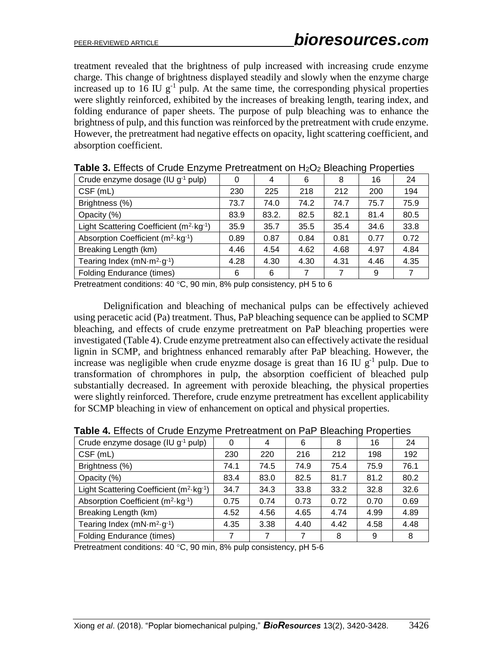treatment revealed that the brightness of pulp increased with increasing crude enzyme charge. This change of brightness displayed steadily and slowly when the enzyme charge increased up to 16 IU  $g^{-1}$  pulp. At the same time, the corresponding physical properties were slightly reinforced, exhibited by the increases of breaking length, tearing index, and folding endurance of paper sheets. The purpose of pulp bleaching was to enhance the brightness of pulp, and this function was reinforced by the pretreatment with crude enzyme. However, the pretreatment had negative effects on opacity, light scattering coefficient, and absorption coefficient.

| <b>TWAIG</b> OF ENOUGHOUS CHEVING FROM OUTION ON FIZE DIVIDING FROM MODE |      |       |      |      |      |      |  |
|--------------------------------------------------------------------------|------|-------|------|------|------|------|--|
| Crude enzyme dosage (IU g <sup>-1</sup> pulp)                            | 0    | 4     | 6    | 8    | 16   | 24   |  |
| $CSF$ (mL)                                                               | 230  | 225   | 218  | 212  | 200  | 194  |  |
| Brightness (%)                                                           | 73.7 | 74.0  | 74.2 | 74.7 | 75.7 | 75.9 |  |
| Opacity (%)                                                              | 83.9 | 83.2. | 82.5 | 82.1 | 81.4 | 80.5 |  |
| Light Scattering Coefficient (m <sup>2</sup> ·kg <sup>-1</sup> )         | 35.9 | 35.7  | 35.5 | 35.4 | 34.6 | 33.8 |  |
| Absorption Coefficient (m <sup>2</sup> ·kg <sup>-1</sup> )               | 0.89 | 0.87  | 0.84 | 0.81 | 0.77 | 0.72 |  |
| Breaking Length (km)                                                     | 4.46 | 4.54  | 4.62 | 4.68 | 4.97 | 4.84 |  |
| Tearing Index $(mN·m2·g-1)$                                              | 4.28 | 4.30  | 4.30 | 4.31 | 4.46 | 4.35 |  |
| <b>Folding Endurance (times)</b>                                         | 6    | 6     |      |      | 9    |      |  |

**Table 3.** Effects of Crude Enzyme Pretreatment on H<sub>2</sub>O<sub>2</sub> Bleaching Properties

Pretreatment conditions: 40  $^{\circ}$ C, 90 min, 8% pulp consistency, pH 5 to 6

Delignification and bleaching of mechanical pulps can be effectively achieved using peracetic acid (Pa) treatment. Thus, PaP bleaching sequence can be applied to SCMP bleaching, and effects of crude enzyme pretreatment on PaP bleaching properties were investigated (Table 4). Crude enzyme pretreatment also can effectively activate the residual lignin in SCMP, and brightness enhanced remarably after PaP bleaching. However, the increase was negligible when crude enyzme dosage is great than  $16 \text{ IU } g^{-1}$  pulp. Due to transformation of chromphores in pulp, the absorption coefficient of bleached pulp substantially decreased. In agreement with peroxide bleaching, the physical properties were slightly reinforced. Therefore, crude enzyme pretreatment has excellent applicability for SCMP bleaching in view of enhancement on optical and physical properties.

| Crude enzyme dosage (IU g-1 pulp)                                  | 0    | 4    | 6    | 8    | 16   | 24   |
|--------------------------------------------------------------------|------|------|------|------|------|------|
| CSF (mL)                                                           | 230  | 220  | 216  | 212  | 198  | 192  |
| Brightness (%)                                                     | 74.1 | 74.5 | 74.9 | 75.4 | 75.9 | 76.1 |
| Opacity (%)                                                        | 83.4 | 83.0 | 82.5 | 81.7 | 81.2 | 80.2 |
| Light Scattering Coefficient (m <sup>2</sup> ·kg <sup>-1</sup> )   | 34.7 | 34.3 | 33.8 | 33.2 | 32.8 | 32.6 |
| Absorption Coefficient (m <sup>2</sup> ·kg <sup>-1</sup> )         | 0.75 | 0.74 | 0.73 | 0.72 | 0.70 | 0.69 |
| Breaking Length (km)                                               | 4.52 | 4.56 | 4.65 | 4.74 | 4.99 | 4.89 |
| Tearing Index (mN $\cdot$ m <sup>2</sup> $\cdot$ g <sup>-1</sup> ) | 4.35 | 3.38 | 4.40 | 4.42 | 4.58 | 4.48 |
| <b>Folding Endurance (times)</b>                                   | 7    |      | 7    | 8    | 9    | 8    |

**Table 4.** Effects of Crude Enzyme Pretreatment on PaP Bleaching Properties

Pretreatment conditions: 40  $^{\circ}$ C, 90 min, 8% pulp consistency, pH 5-6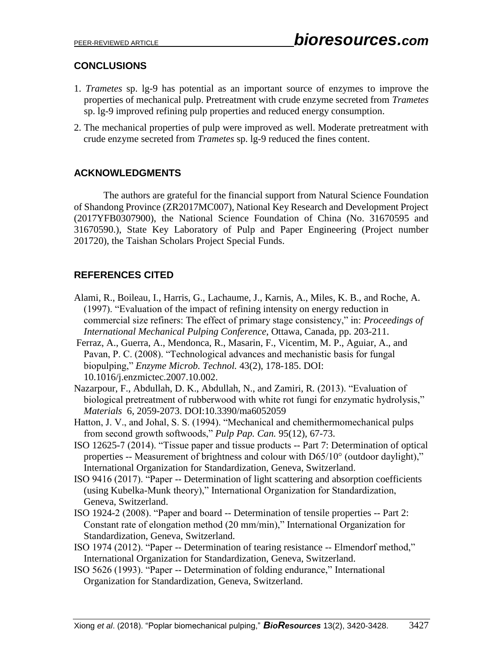# **CONCLUSIONS**

- 1. *Trametes* sp. lg-9 has potential as an important source of enzymes to improve the properties of mechanical pulp. Pretreatment with crude enzyme secreted from *Trametes*  sp. lg-9 improved refining pulp properties and reduced energy consumption.
- 2. The mechanical properties of pulp were improved as well. Moderate pretreatment with crude enzyme secreted from *Trametes* sp. lg-9 reduced the fines content.

# **ACKNOWLEDGMENTS**

The authors are grateful for the financial support from Natural Science Foundation of Shandong Province (ZR2017MC007), National Key Research and Development Project (2017YFB0307900), the National Science Foundation of China (No. 31670595 and 31670590.), State Key Laboratory of Pulp and Paper Engineering (Project number 201720), the Taishan Scholars Project Special Funds.

# **REFERENCES CITED**

- Alami, R., Boileau, I., Harris, G., Lachaume, J., Karnis, A., Miles, K. B., and Roche, A. (1997). "Evaluation of the impact of refining intensity on energy reduction in commercial size refiners: The effect of primary stage consistency," in: *Proceedings of International Mechanical Pulping Conference*, Ottawa, Canada, pp. 203-211.
- Ferraz, A., Guerra, A., Mendonca, R., Masarin, F., Vicentim, M. P., Aguiar, A., and Pavan, P. C. (2008). "Technological advances and mechanistic basis for fungal biopulping," *Enzyme Microb. Technol.* 43(2), 178-185. DOI: 10.1016/j.enzmictec.2007.10.002.
- Nazarpour, F., Abdullah, D. K., Abdullah, N., and Zamiri, R*.* (2013). "Evaluation of biological pretreatment of rubberwood with white rot fungi for enzymatic hydrolysis," *Materials* 6, 2059-2073. DOI:10.3390/ma6052059
- Hatton, J. V., and Johal, S. S. (1994). "Mechanical and chemithermomechanical pulps from second growth softwoods," *Pulp Pap. Can.* 95(12), 67-73.
- ISO 12625-7 (2014). "Tissue paper and tissue products -- Part 7: Determination of optical properties -- Measurement of brightness and colour with D65/10° (outdoor daylight)," International Organization for Standardization, Geneva, Switzerland.
- ISO 9416 (2017). "Paper -- Determination of light scattering and absorption coefficients (using Kubelka-Munk theory)," International Organization for Standardization, Geneva, Switzerland.
- ISO 1924-2 (2008). "Paper and board -- Determination of tensile properties -- Part 2: Constant rate of elongation method (20 mm/min)," International Organization for Standardization, Geneva, Switzerland.
- ISO 1974 (2012). "Paper -- Determination of tearing resistance -- Elmendorf method," International Organization for Standardization, Geneva, Switzerland.
- ISO 5626 (1993). "Paper -- Determination of folding endurance," International Organization for Standardization, Geneva, Switzerland.